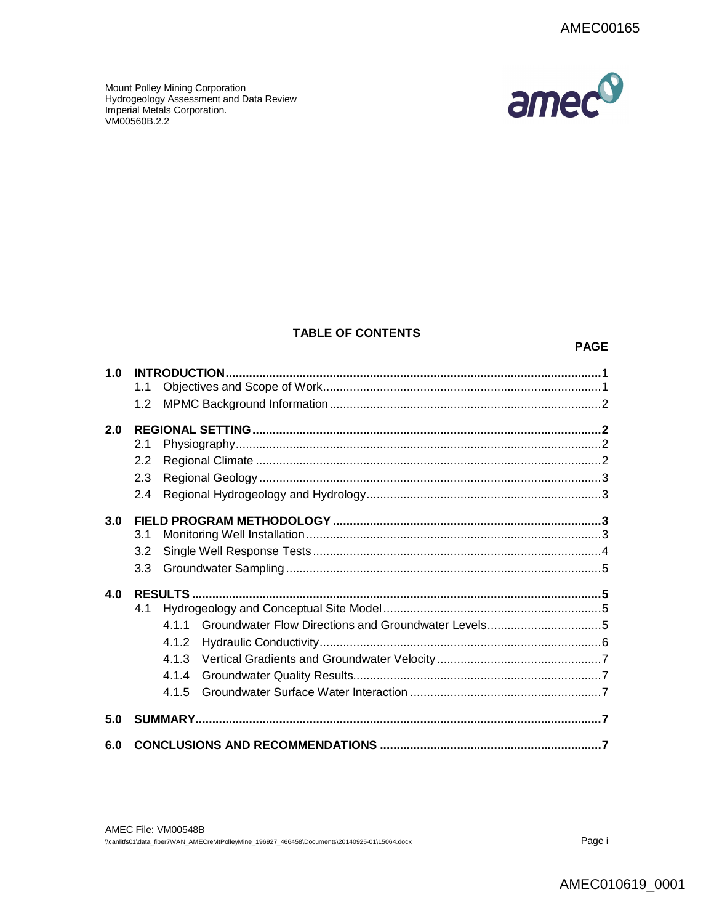amec<sup>o</sup>

Mount Polley Mining Corporation Hydrogeology Assessment and Data Review Imperial Metals Corporation. VM00560B.2.2

## **TABLE OF CONTENTS**

#### **PAGE**

| 1.0 |     |       |                |  |
|-----|-----|-------|----------------|--|
|     | 1.1 |       |                |  |
|     | 1.2 |       |                |  |
| 2.0 |     |       |                |  |
|     | 2.1 |       |                |  |
|     | 2.2 |       |                |  |
|     | 2.3 |       |                |  |
|     | 2.4 |       |                |  |
| 3.0 |     |       |                |  |
|     | 3.1 |       |                |  |
|     | 3.2 |       |                |  |
|     | 3.3 |       |                |  |
| 4.0 |     |       | <b>RESULTS</b> |  |
|     | 4.1 |       |                |  |
|     |     | 4.1.1 |                |  |
|     |     | 4.1.2 |                |  |
|     |     | 4.1.3 |                |  |
|     |     | 4.1.4 |                |  |
|     |     | 4 1 5 |                |  |
| 5.0 |     |       |                |  |
| 6.0 |     |       |                |  |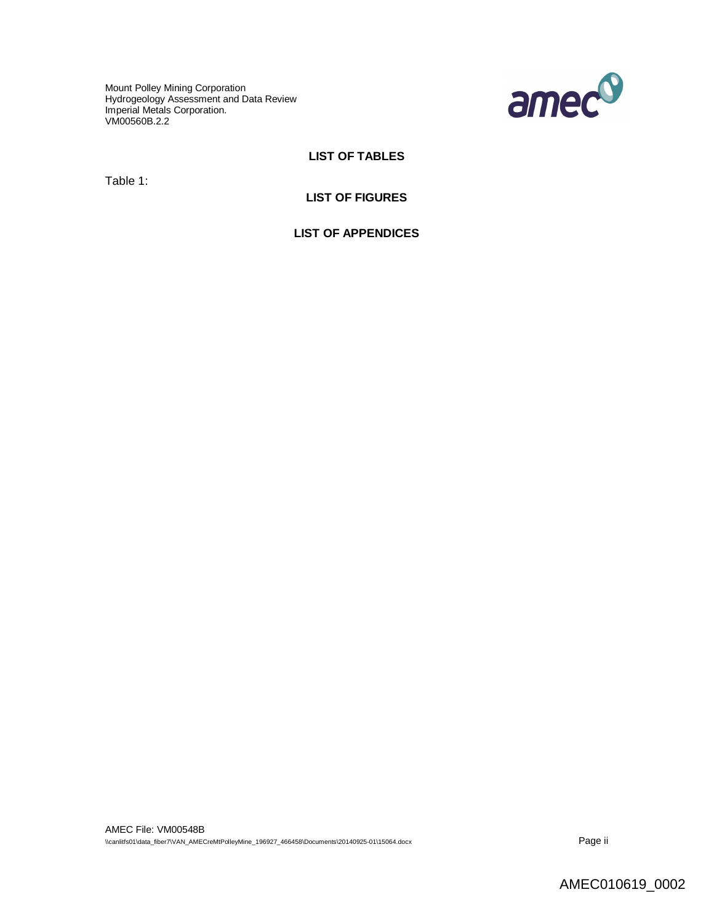Mount Polley Mining Corporation Hydrogeology Assessment and Data Review Imperial Metals Corporation. VM00560B.2.2



# **LIST OF TABLES**

Table 1:

#### **LIST OF FIGURES**

**LIST OF APPENDICES**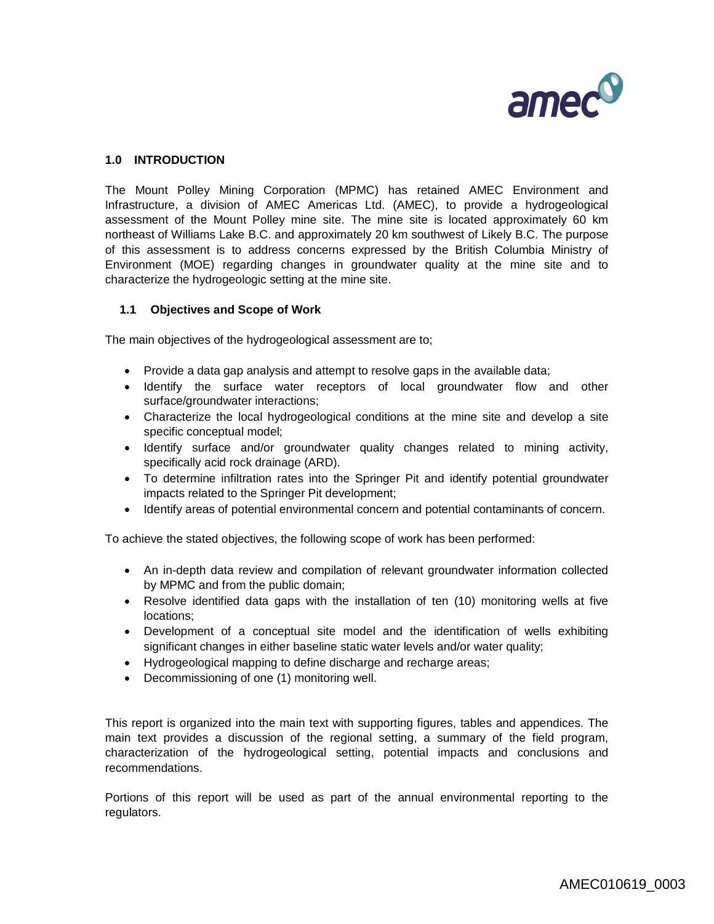

# **1.0 INTRODUCTION**

The Mount Polley Mining Corporation (MPMC) has retained AMEC Environment and Infrastructure, a division of AMEC Americas Ltd. (AMEC), to provide a hydrogeological assessment of the Mount Polley mine site. The mine site is located approximately 60 km northeast of Williams Lake B.C. and approximately 20 km southwest of Likely B.C. The purpose of this assessment is to address concerns expressed by the British Columbia Ministry of Environment (MOE) regarding changes in groundwater quality at the mine site and to characterize the hydrogeologic setting at the mine site.

#### **1.1 Objectives and Scope of Work**

The main objectives of the hydrogeological assessment are to;

- Provide a data gap analysis and attempt to resolve gaps in the available data;
- Identify the surface water receptors of local groundwater flow and other surface/groundwater interactions;
- Characterize the local hydrogeological conditions at the mine site and develop a site specific conceptual model;
- Identify surface and/or groundwater quality changes related to mining activity, specifically acid rock drainage (ARD).
- To determine infiltration rates into the Springer Pit and identify potential groundwater impacts related to the Springer Pit development;
- Identify areas of potential environmental concern and potential contaminants of concern.

To achieve the stated objectives, the following scope of work has been performed:

- An in-depth data review and compilation of relevant groundwater information collected by MPMC and from the public domain;
- Resolve identified data gaps with the installation of ten (10) monitoring wells at five locations;
- Development of a conceptual site model and the identification of wells exhibiting significant changes in either baseline static water levels and/or water quality;
- Hydrogeological mapping to define discharge and recharge areas;
- Decommissioning of one (1) monitoring well.

This report is organized into the main text with supporting figures, tables and appendices. The main text provides a discussion of the regional setting, a summary of the field program, characterization of the hydrogeological setting, potential impacts and conclusions and recommendations.

Portions of this report will be used as part of the annual environmental reporting to the regulators.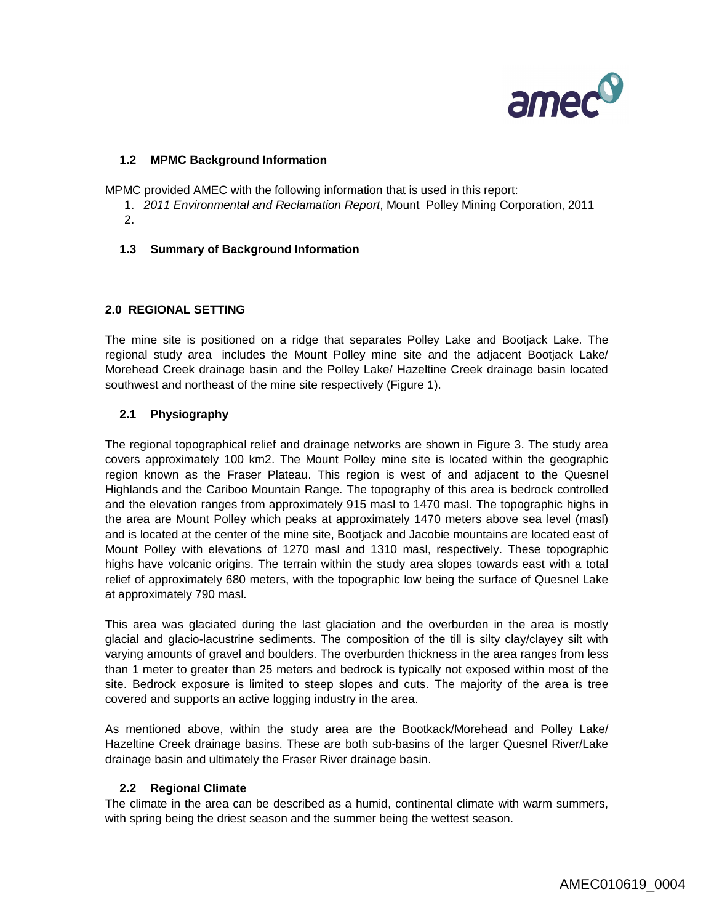

## **1.2 MPMC Background Information**

MPMC provided AMEC with the following information that is used in this report:

- 1. *2011 Environmental and Reclamation Report*, Mount Polley Mining Corporation, 2011
- 2.
- **1.3 Summary of Background Information**

#### **2.0 REGIONAL SETTING**

The mine site is positioned on a ridge that separates Polley Lake and Bootjack Lake. The regional study area includes the Mount Polley mine site and the adjacent Bootjack Lake/ Morehead Creek drainage basin and the Polley Lake/ Hazeltine Creek drainage basin located southwest and northeast of the mine site respectively (Figure 1).

## **2.1 Physiography**

The regional topographical relief and drainage networks are shown in Figure 3. The study area covers approximately 100 km2. The Mount Polley mine site is located within the geographic region known as the Fraser Plateau. This region is west of and adjacent to the Quesnel Highlands and the Cariboo Mountain Range. The topography of this area is bedrock controlled and the elevation ranges from approximately 915 masl to 1470 masl. The topographic highs in the area are Mount Polley which peaks at approximately 1470 meters above sea level (masl) and is located at the center of the mine site, Bootjack and Jacobie mountains are located east of Mount Polley with elevations of 1270 masl and 1310 masl, respectively. These topographic highs have volcanic origins. The terrain within the study area slopes towards east with a total relief of approximately 680 meters, with the topographic low being the surface of Quesnel Lake at approximately 790 masl.

This area was glaciated during the last glaciation and the overburden in the area is mostly glacial and glacio-lacustrine sediments. The composition of the till is silty clay/clayey silt with varying amounts of gravel and boulders. The overburden thickness in the area ranges from less than 1 meter to greater than 25 meters and bedrock is typically not exposed within most of the site. Bedrock exposure is limited to steep slopes and cuts. The majority of the area is tree covered and supports an active logging industry in the area.

As mentioned above, within the study area are the Bootkack/Morehead and Polley Lake/ Hazeltine Creek drainage basins. These are both sub-basins of the larger Quesnel River/Lake drainage basin and ultimately the Fraser River drainage basin.

#### **2.2 Regional Climate**

The climate in the area can be described as a humid, continental climate with warm summers, with spring being the driest season and the summer being the wettest season.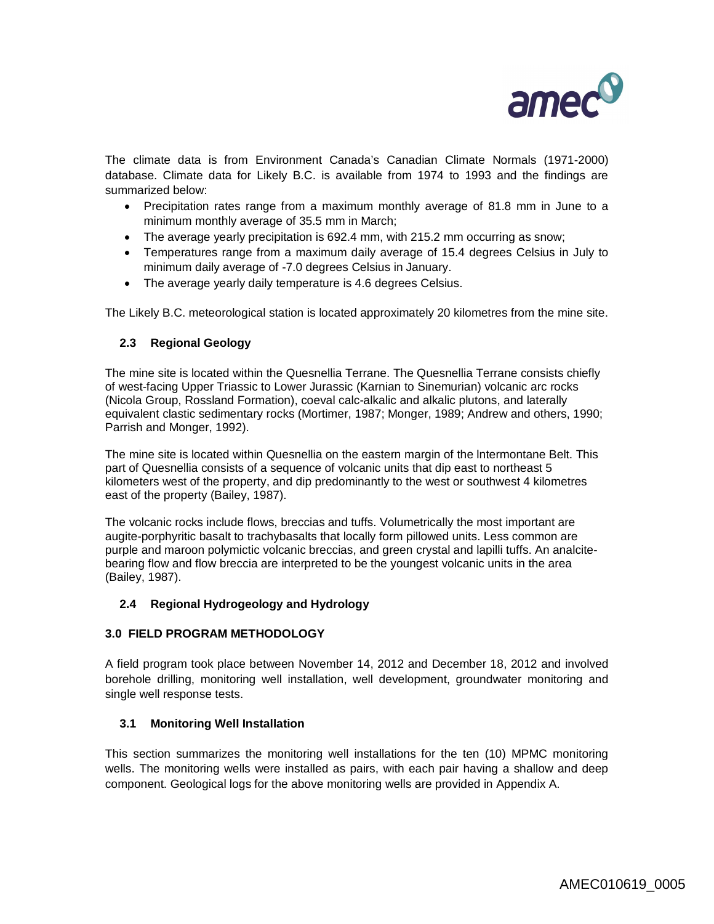

The climate data is from Environment Canada's Canadian Climate Normals (1971-2000) database. Climate data for Likely B.C. is available from 1974 to 1993 and the findings are summarized below:

- Precipitation rates range from a maximum monthly average of 81.8 mm in June to a minimum monthly average of 35.5 mm in March;
- The average yearly precipitation is 692.4 mm, with 215.2 mm occurring as snow;
- Temperatures range from a maximum daily average of 15.4 degrees Celsius in July to minimum daily average of -7.0 degrees Celsius in January.
- The average yearly daily temperature is 4.6 degrees Celsius.

The Likely B.C. meteorological station is located approximately 20 kilometres from the mine site.

## **2.3 Regional Geology**

The mine site is located within the Quesnellia Terrane. The Quesnellia Terrane consists chiefly of west-facing Upper Triassic to Lower Jurassic (Karnian to Sinemurian) volcanic arc rocks (Nicola Group, Rossland Formation), coeval calc-alkalic and alkalic plutons, and laterally equivalent clastic sedimentary rocks (Mortimer, 1987; Monger, 1989; Andrew and others, 1990; Parrish and Monger, 1992).

The mine site is located within Quesnellia on the eastern margin of the lntermontane Belt. This part of Quesnellia consists of a sequence of volcanic units that dip east to northeast 5 kilometers west of the property, and dip predominantly to the west or southwest 4 kilometres east of the property (Bailey, 1987).

The volcanic rocks include flows, breccias and tuffs. Volumetrically the most important are augite-porphyritic basalt to trachybasalts that locally form pillowed units. Less common are purple and maroon polymictic volcanic breccias, and green crystal and lapilli tuffs. An analcitebearing flow and flow breccia are interpreted to be the youngest volcanic units in the area (Bailey, 1987).

## **2.4 Regional Hydrogeology and Hydrology**

#### **3.0 FIELD PROGRAM METHODOLOGY**

A field program took place between November 14, 2012 and December 18, 2012 and involved borehole drilling, monitoring well installation, well development, groundwater monitoring and single well response tests.

#### **3.1 Monitoring Well Installation**

This section summarizes the monitoring well installations for the ten (10) MPMC monitoring wells. The monitoring wells were installed as pairs, with each pair having a shallow and deep component. Geological logs for the above monitoring wells are provided in Appendix A.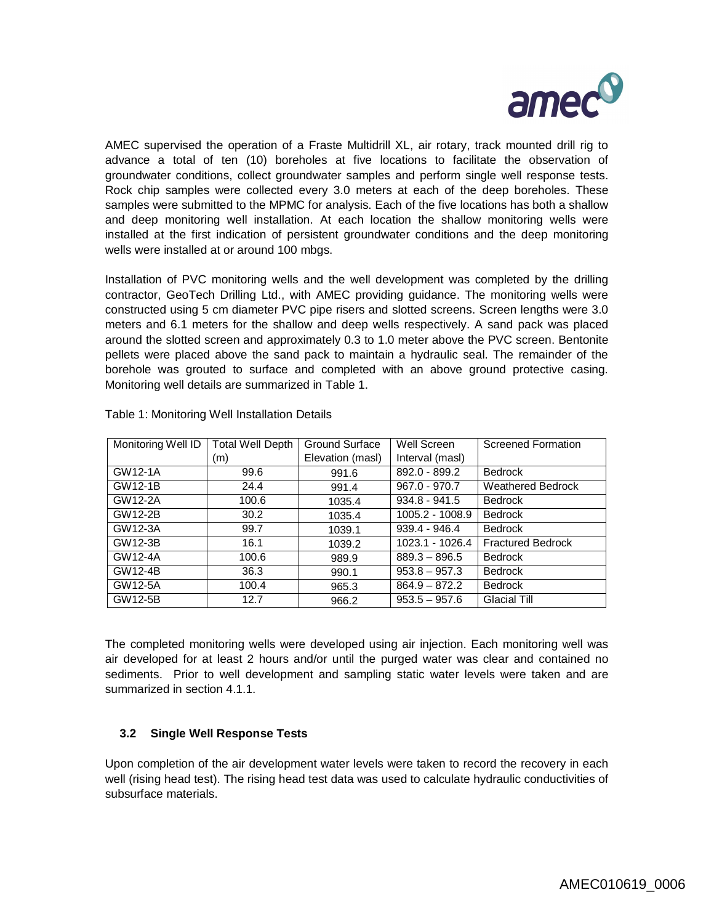

AMEC supervised the operation of a Fraste Multidrill XL, air rotary, track mounted drill rig to advance a total of ten (10) boreholes at five locations to facilitate the observation of groundwater conditions, collect groundwater samples and perform single well response tests. Rock chip samples were collected every 3.0 meters at each of the deep boreholes. These samples were submitted to the MPMC for analysis. Each of the five locations has both a shallow and deep monitoring well installation. At each location the shallow monitoring wells were installed at the first indication of persistent groundwater conditions and the deep monitoring wells were installed at or around 100 mbgs.

Installation of PVC monitoring wells and the well development was completed by the drilling contractor, GeoTech Drilling Ltd., with AMEC providing guidance. The monitoring wells were constructed using 5 cm diameter PVC pipe risers and slotted screens. Screen lengths were 3.0 meters and 6.1 meters for the shallow and deep wells respectively. A sand pack was placed around the slotted screen and approximately 0.3 to 1.0 meter above the PVC screen. Bentonite pellets were placed above the sand pack to maintain a hydraulic seal. The remainder of the borehole was grouted to surface and completed with an above ground protective casing. Monitoring well details are summarized in Table 1.

| Monitoring Well ID | <b>Total Well Depth</b> | Ground Surface   | Well Screen     | <b>Screened Formation</b> |
|--------------------|-------------------------|------------------|-----------------|---------------------------|
|                    | (m)                     | Elevation (masl) | Interval (masl) |                           |
| GW12-1A            | 99.6                    | 991.6            | 892.0 - 899.2   | <b>Bedrock</b>            |
| GW12-1B            | 24.4                    | 991.4            | $967.0 - 970.7$ | <b>Weathered Bedrock</b>  |
| GW12-2A            | 100.6                   | 1035.4           | $934.8 - 941.5$ | <b>Bedrock</b>            |
| GW12-2B            | 30.2                    | 1035.4           | 1005.2 - 1008.9 | <b>Bedrock</b>            |
| GW12-3A            | 99.7                    | 1039.1           | 939.4 - 946.4   | <b>Bedrock</b>            |
| GW12-3B            | 16.1                    | 1039.2           | 1023.1 - 1026.4 | <b>Fractured Bedrock</b>  |
| GW12-4A            | 100.6                   | 989.9            | $889.3 - 896.5$ | <b>Bedrock</b>            |
| GW12-4B            | 36.3                    | 990.1            | $953.8 - 957.3$ | <b>Bedrock</b>            |
| GW12-5A            | 100.4                   | 965.3            | $864.9 - 872.2$ | <b>Bedrock</b>            |
| GW12-5B            | 12.7                    | 966.2            | $953.5 - 957.6$ | <b>Glacial Till</b>       |

Table 1: Monitoring Well Installation Details

The completed monitoring wells were developed using air injection. Each monitoring well was air developed for at least 2 hours and/or until the purged water was clear and contained no sediments. Prior to well development and sampling static water levels were taken and are summarized in section 4.1.1.

## **3.2 Single Well Response Tests**

Upon completion of the air development water levels were taken to record the recovery in each well (rising head test). The rising head test data was used to calculate hydraulic conductivities of subsurface materials.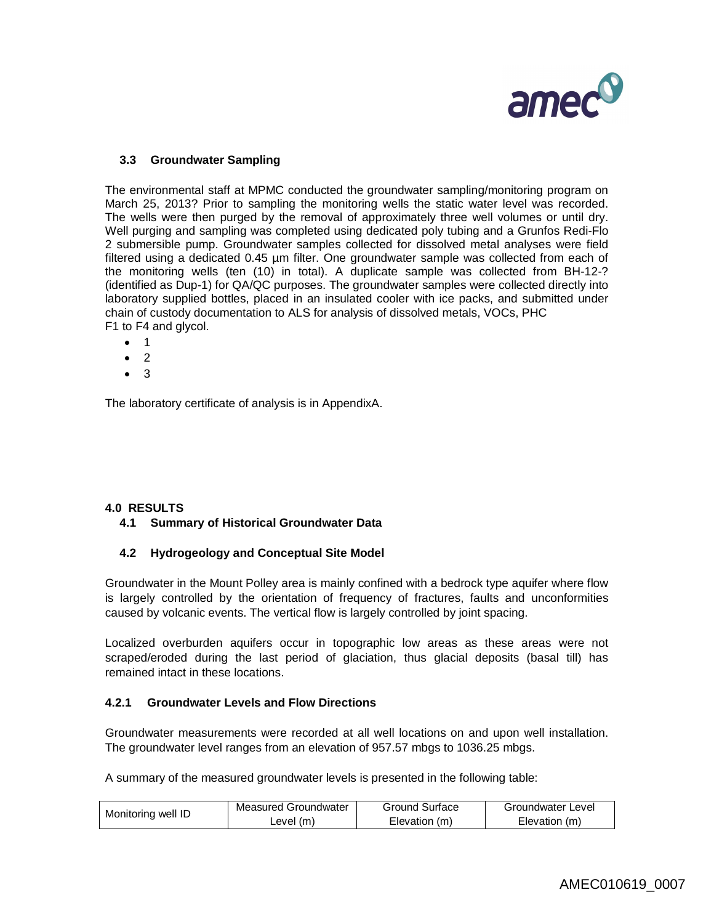

# **3.3 Groundwater Sampling**

The environmental staff at MPMC conducted the groundwater sampling/monitoring program on March 25, 2013? Prior to sampling the monitoring wells the static water level was recorded. The wells were then purged by the removal of approximately three well volumes or until dry. Well purging and sampling was completed using dedicated poly tubing and a Grunfos Redi-Flo 2 submersible pump. Groundwater samples collected for dissolved metal analyses were field filtered using a dedicated 0.45 µm filter. One groundwater sample was collected from each of the monitoring wells (ten (10) in total). A duplicate sample was collected from BH-12-? (identified as Dup-1) for QA/QC purposes. The groundwater samples were collected directly into laboratory supplied bottles, placed in an insulated cooler with ice packs, and submitted under chain of custody documentation to ALS for analysis of dissolved metals, VOCs, PHC F1 to F4 and glycol.

- $1$
- 2
- $\bullet$  3

The laboratory certificate of analysis is in AppendixA.

## **4.0 RESULTS**

## **4.1 Summary of Historical Groundwater Data**

## **4.2 Hydrogeology and Conceptual Site Model**

Groundwater in the Mount Polley area is mainly confined with a bedrock type aquifer where flow is largely controlled by the orientation of frequency of fractures, faults and unconformities caused by volcanic events. The vertical flow is largely controlled by joint spacing.

Localized overburden aquifers occur in topographic low areas as these areas were not scraped/eroded during the last period of glaciation, thus glacial deposits (basal till) has remained intact in these locations.

## **4.2.1 Groundwater Levels and Flow Directions**

Groundwater measurements were recorded at all well locations on and upon well installation. The groundwater level ranges from an elevation of 957.57 mbgs to 1036.25 mbgs.

A summary of the measured groundwater levels is presented in the following table:

| Monitoring well ID | Measured Groundwater | Ground Surface | Groundwater Level |  |
|--------------------|----------------------|----------------|-------------------|--|
|                    | ∟evel (m)            | Elevation (m)  | Elevation (m)     |  |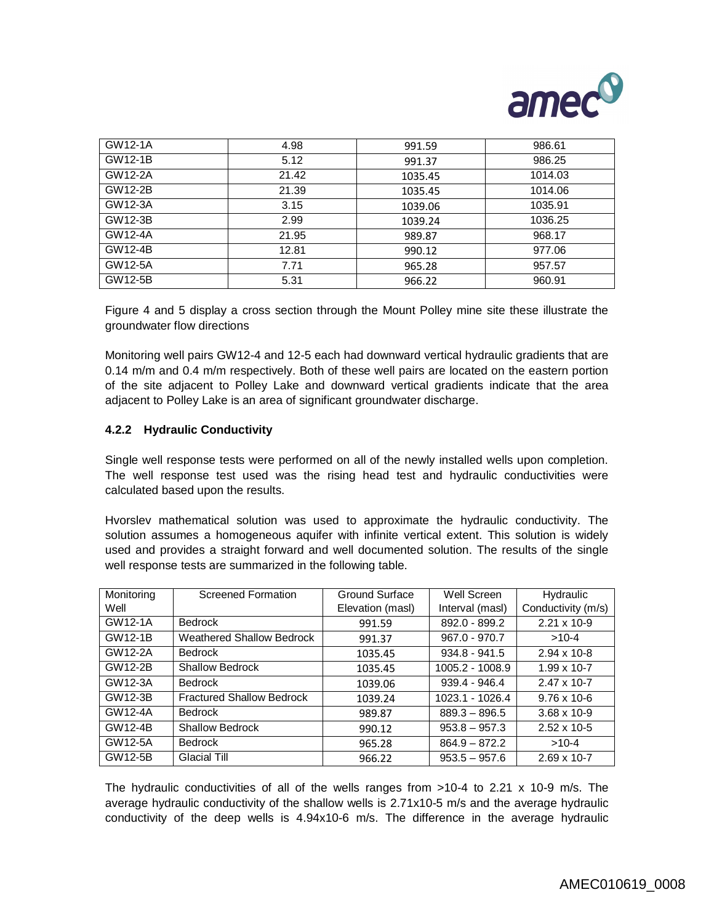

| GW12-1A | 4.98  | 991.59  | 986.61  |
|---------|-------|---------|---------|
| GW12-1B | 5.12  | 991.37  | 986.25  |
| GW12-2A | 21.42 | 1035.45 | 1014.03 |
| GW12-2B | 21.39 | 1035.45 | 1014.06 |
| GW12-3A | 3.15  | 1039.06 | 1035.91 |
| GW12-3B | 2.99  | 1039.24 | 1036.25 |
| GW12-4A | 21.95 | 989.87  | 968.17  |
| GW12-4B | 12.81 | 990.12  | 977.06  |
| GW12-5A | 7.71  | 965.28  | 957.57  |
| GW12-5B | 5.31  | 966.22  | 960.91  |

Figure 4 and 5 display a cross section through the Mount Polley mine site these illustrate the groundwater flow directions

Monitoring well pairs GW12-4 and 12-5 each had downward vertical hydraulic gradients that are 0.14 m/m and 0.4 m/m respectively. Both of these well pairs are located on the eastern portion of the site adjacent to Polley Lake and downward vertical gradients indicate that the area adjacent to Polley Lake is an area of significant groundwater discharge.

## **4.2.2 Hydraulic Conductivity**

Single well response tests were performed on all of the newly installed wells upon completion. The well response test used was the rising head test and hydraulic conductivities were calculated based upon the results.

Hvorslev mathematical solution was used to approximate the hydraulic conductivity. The solution assumes a homogeneous aquifer with infinite vertical extent. This solution is widely used and provides a straight forward and well documented solution. The results of the single well response tests are summarized in the following table.

| Monitoring | <b>Screened Formation</b>        | Ground Surface   | Well Screen     | Hydraulic             |
|------------|----------------------------------|------------------|-----------------|-----------------------|
| Well       |                                  | Elevation (masl) | Interval (masl) | Conductivity (m/s)    |
| GW12-1A    | <b>Bedrock</b>                   | 991.59           | 892.0 - 899.2   | $2.21 \times 10 - 9$  |
| GW12-1B    | <b>Weathered Shallow Bedrock</b> | 991.37           | $967.0 - 970.7$ | $>10-4$               |
| GW12-2A    | <b>Bedrock</b>                   | 1035.45          | $934.8 - 941.5$ | $2.94 \times 10 - 8$  |
| GW12-2B    | <b>Shallow Bedrock</b>           | 1035.45          | 1005.2 - 1008.9 | $1.99 \times 10 - 7$  |
| GW12-3A    | <b>Bedrock</b>                   | 1039.06          | $939.4 - 946.4$ | $2.47 \times 10 - 7$  |
| GW12-3B    | <b>Fractured Shallow Bedrock</b> | 1039.24          | 1023.1 - 1026.4 | $9.76 \times 10^{-6}$ |
| GW12-4A    | <b>Bedrock</b>                   | 989.87           | $889.3 - 896.5$ | $3.68 \times 10 - 9$  |
| GW12-4B    | <b>Shallow Bedrock</b>           | 990.12           | $953.8 - 957.3$ | $2.52 \times 10 - 5$  |
| GW12-5A    | <b>Bedrock</b>                   | 965.28           | $864.9 - 872.2$ | $>10-4$               |
| GW12-5B    | <b>Glacial Till</b>              | 966.22           | $953.5 - 957.6$ | $2.69 \times 10 - 7$  |

The hydraulic conductivities of all of the wells ranges from >10-4 to 2.21 x 10-9 m/s. The average hydraulic conductivity of the shallow wells is 2.71x10-5 m/s and the average hydraulic conductivity of the deep wells is 4.94x10-6 m/s. The difference in the average hydraulic